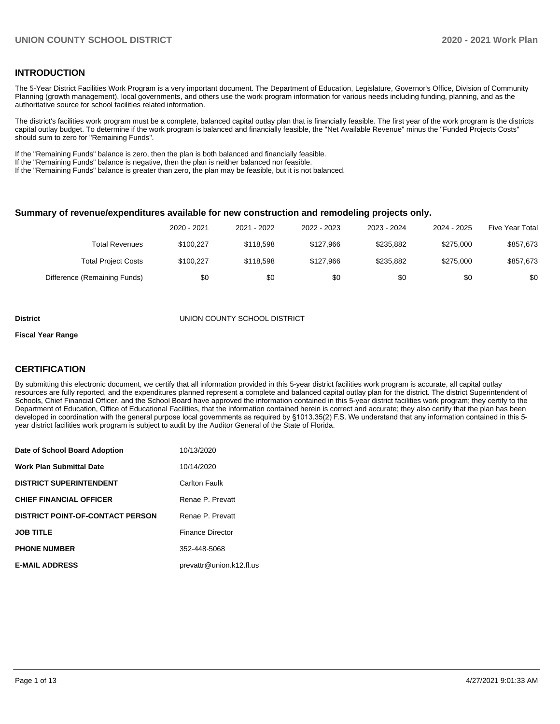### **INTRODUCTION**

The 5-Year District Facilities Work Program is a very important document. The Department of Education, Legislature, Governor's Office, Division of Community Planning (growth management), local governments, and others use the work program information for various needs including funding, planning, and as the authoritative source for school facilities related information.

The district's facilities work program must be a complete, balanced capital outlay plan that is financially feasible. The first year of the work program is the districts capital outlay budget. To determine if the work program is balanced and financially feasible, the "Net Available Revenue" minus the "Funded Projects Costs" should sum to zero for "Remaining Funds".

If the "Remaining Funds" balance is zero, then the plan is both balanced and financially feasible.

If the "Remaining Funds" balance is negative, then the plan is neither balanced nor feasible.

If the "Remaining Funds" balance is greater than zero, the plan may be feasible, but it is not balanced.

#### **Summary of revenue/expenditures available for new construction and remodeling projects only.**

|                              | 2020 - 2021 | 2021 - 2022 | 2022 - 2023 | 2023 - 2024 | 2024 - 2025 | Five Year Total |
|------------------------------|-------------|-------------|-------------|-------------|-------------|-----------------|
| Total Revenues               | \$100.227   | \$118.598   | \$127.966   | \$235.882   | \$275,000   | \$857,673       |
| <b>Total Project Costs</b>   | \$100.227   | \$118.598   | \$127,966   | \$235.882   | \$275.000   | \$857,673       |
| Difference (Remaining Funds) | \$0         | \$0         | \$0         | \$0         | \$0         | \$0             |

#### **District** UNION COUNTY SCHOOL DISTRICT

#### **Fiscal Year Range**

## **CERTIFICATION**

By submitting this electronic document, we certify that all information provided in this 5-year district facilities work program is accurate, all capital outlay resources are fully reported, and the expenditures planned represent a complete and balanced capital outlay plan for the district. The district Superintendent of Schools, Chief Financial Officer, and the School Board have approved the information contained in this 5-year district facilities work program; they certify to the Department of Education, Office of Educational Facilities, that the information contained herein is correct and accurate; they also certify that the plan has been developed in coordination with the general purpose local governments as required by §1013.35(2) F.S. We understand that any information contained in this 5 year district facilities work program is subject to audit by the Auditor General of the State of Florida.

| Date of School Board Adoption           | 10/13/2020               |
|-----------------------------------------|--------------------------|
| <b>Work Plan Submittal Date</b>         | 10/14/2020               |
| <b>DISTRICT SUPERINTENDENT</b>          | Carlton Faulk            |
| <b>CHIEF FINANCIAL OFFICER</b>          | Renae P. Prevatt         |
| <b>DISTRICT POINT-OF-CONTACT PERSON</b> | Renae P. Prevatt         |
| <b>JOB TITLE</b>                        | <b>Finance Director</b>  |
| <b>PHONE NUMBER</b>                     | 352-448-5068             |
| <b>E-MAIL ADDRESS</b>                   | prevattr@union.k12.fl.us |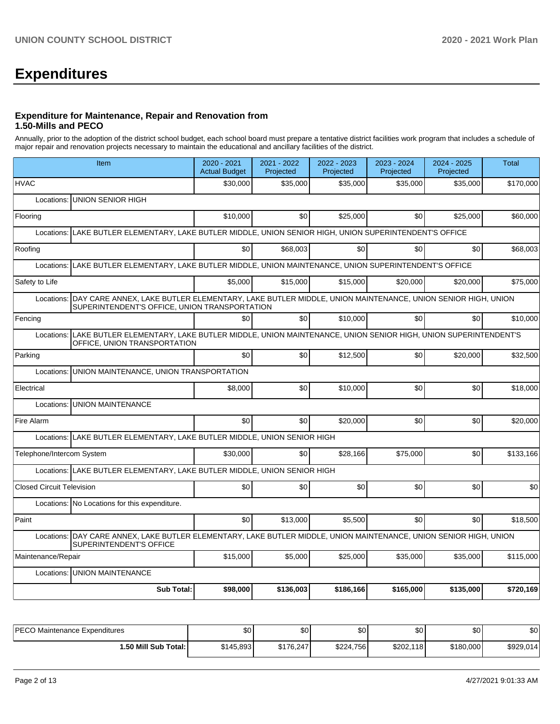# **Expenditures**

### **Expenditure for Maintenance, Repair and Renovation from 1.50-Mills and PECO**

Annually, prior to the adoption of the district school budget, each school board must prepare a tentative district facilities work program that includes a schedule of major repair and renovation projects necessary to maintain the educational and ancillary facilities of the district.

| Item                                                                                                                                                                   | 2020 - 2021<br><b>Actual Budget</b>                                                          | 2021 - 2022<br>Projected | 2022 - 2023<br>Projected | 2023 - 2024<br>Projected | 2024 - 2025<br>Projected | <b>Total</b> |  |  |  |  |
|------------------------------------------------------------------------------------------------------------------------------------------------------------------------|----------------------------------------------------------------------------------------------|--------------------------|--------------------------|--------------------------|--------------------------|--------------|--|--|--|--|
| <b>HVAC</b>                                                                                                                                                            | \$30,000                                                                                     | \$35,000                 | \$35,000                 | \$35,000                 | \$35,000                 | \$170,000    |  |  |  |  |
| <b>UNION SENIOR HIGH</b><br>Locations:                                                                                                                                 |                                                                                              |                          |                          |                          |                          |              |  |  |  |  |
| Flooring                                                                                                                                                               | \$10,000                                                                                     | \$0                      | \$25,000                 | \$0                      | \$25,000                 | \$60,000     |  |  |  |  |
| Locations: LAKE BUTLER ELEMENTARY, LAKE BUTLER MIDDLE, UNION SENIOR HIGH, UNION SUPERINTENDENT'S OFFICE                                                                |                                                                                              |                          |                          |                          |                          |              |  |  |  |  |
| Roofing                                                                                                                                                                | \$0                                                                                          | \$68,003                 | \$0                      | \$0                      | \$0                      | \$68,003     |  |  |  |  |
| Locations:                                                                                                                                                             | LAKE BUTLER ELEMENTARY, LAKE BUTLER MIDDLE, UNION MAINTENANCE, UNION SUPERINTENDENT'S OFFICE |                          |                          |                          |                          |              |  |  |  |  |
| Safety to Life                                                                                                                                                         | \$5,000                                                                                      | \$15,000                 | \$15,000                 | \$20,000                 | \$20,000                 | \$75,000     |  |  |  |  |
| DAY CARE ANNEX, LAKE BUTLER ELEMENTARY, LAKE BUTLER MIDDLE, UNION MAINTENANCE, UNION SENIOR HIGH, UNION<br>Locations:<br>SUPERINTENDENT'S OFFICE, UNION TRANSPORTATION |                                                                                              |                          |                          |                          |                          |              |  |  |  |  |
| Fencing                                                                                                                                                                | \$0                                                                                          | \$0                      | \$10,000                 | \$0                      | \$0                      | \$10,000     |  |  |  |  |
| Locations: LAKE BUTLER ELEMENTARY, LAKE BUTLER MIDDLE, UNION MAINTENANCE, UNION SENIOR HIGH, UNION SUPERINTENDENT'S<br>OFFICE, UNION TRANSPORTATION                    |                                                                                              |                          |                          |                          |                          |              |  |  |  |  |
| Parking                                                                                                                                                                | \$0                                                                                          | \$0                      | \$12,500                 | \$0                      | \$20,000                 | \$32,500     |  |  |  |  |
| UNION MAINTENANCE, UNION TRANSPORTATION<br>Locations:                                                                                                                  |                                                                                              |                          |                          |                          |                          |              |  |  |  |  |
| Electrical                                                                                                                                                             | \$8,000                                                                                      | \$0                      | \$10,000                 | \$0                      | \$0                      | \$18,000     |  |  |  |  |
| <b>UNION MAINTENANCE</b><br>Locations:                                                                                                                                 |                                                                                              |                          |                          |                          |                          |              |  |  |  |  |
| Fire Alarm                                                                                                                                                             | \$0                                                                                          | \$0                      | \$20,000                 | \$0 <sub>1</sub>         | \$0                      | \$20,000     |  |  |  |  |
| Locations: LAKE BUTLER ELEMENTARY, LAKE BUTLER MIDDLE, UNION SENIOR HIGH                                                                                               |                                                                                              |                          |                          |                          |                          |              |  |  |  |  |
| Telephone/Intercom System                                                                                                                                              | \$30,000                                                                                     | \$0                      | \$28.166                 | \$75,000                 | \$0                      | \$133,166    |  |  |  |  |
| Locations: LAKE BUTLER ELEMENTARY, LAKE BUTLER MIDDLE, UNION SENIOR HIGH                                                                                               |                                                                                              |                          |                          |                          |                          |              |  |  |  |  |
| <b>Closed Circuit Television</b>                                                                                                                                       | \$0                                                                                          | \$0                      | \$0                      | \$0                      | \$0                      | \$0          |  |  |  |  |
| Locations: No Locations for this expenditure.                                                                                                                          |                                                                                              |                          |                          |                          |                          |              |  |  |  |  |
| Paint                                                                                                                                                                  | \$0                                                                                          | \$13,000                 | \$5,500                  | \$0 <sub>1</sub>         | \$0                      | \$18,500     |  |  |  |  |
| DAY CARE ANNEX, LAKE BUTLER ELEMENTARY, LAKE BUTLER MIDDLE, UNION MAINTENANCE, UNION SENIOR HIGH, UNION<br>Locations:<br>SUPERINTENDENT'S OFFICE                       |                                                                                              |                          |                          |                          |                          |              |  |  |  |  |
| Maintenance/Repair                                                                                                                                                     | \$15,000                                                                                     | \$5,000                  | \$25,000                 | \$35,000                 | \$35,000                 | \$115,000    |  |  |  |  |
| <b>UNION MAINTENANCE</b><br>Locations:                                                                                                                                 |                                                                                              |                          |                          |                          |                          |              |  |  |  |  |
| <b>Sub Total:</b>                                                                                                                                                      | \$98,000                                                                                     | \$136,003                | \$186,166                | \$165,000                | \$135,000                | \$720,169    |  |  |  |  |

| PECO Maintenance Expenditures | \$0       | \$0       | \$0       | \$0       | \$0       | \$0       |
|-------------------------------|-----------|-----------|-----------|-----------|-----------|-----------|
| 1.50 Mill Sub Total: I        | \$145,893 | \$176.247 | \$224,756 | \$202,118 | \$180,000 | \$929,014 |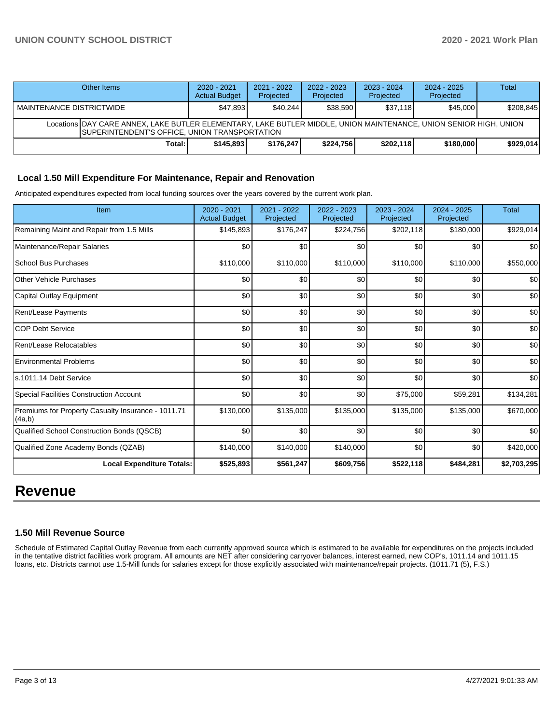# **UNION COUNTY SCHOOL DISTRICT 2020 - 2021 Work Plan**

| Other Items                                                                                                                                                                | 2020 - 2021<br><b>Actual Budget</b> | $2021 - 2022$<br>Projected | $2022 - 2023$<br>Projected | $2023 - 2024$<br>Projected | $2024 - 2025$<br>Projected | Total     |  |  |  |
|----------------------------------------------------------------------------------------------------------------------------------------------------------------------------|-------------------------------------|----------------------------|----------------------------|----------------------------|----------------------------|-----------|--|--|--|
| <b>MAINTENANCE DISTRICTWIDE</b>                                                                                                                                            | \$47.893                            | \$40.244                   | \$38,590                   | \$37.118                   | \$45,000                   | \$208,845 |  |  |  |
| Locations DAY CARE ANNEX. LAKE BUTLER ELEMENTARY. LAKE BUTLER MIDDLE. UNION MAINTENANCE. UNION SENIOR HIGH. UNION<br><b>ISUPERINTENDENT'S OFFICE, UNION TRANSPORTATION</b> |                                     |                            |                            |                            |                            |           |  |  |  |
| Total:                                                                                                                                                                     | \$145.893                           | \$176,247                  | \$224.756                  | \$202.118                  | \$180,000                  | \$929.014 |  |  |  |

## **Local 1.50 Mill Expenditure For Maintenance, Repair and Renovation**

Anticipated expenditures expected from local funding sources over the years covered by the current work plan.

| Item                                                         | 2020 - 2021<br><b>Actual Budget</b> | 2021 - 2022<br>Projected | 2022 - 2023<br>Projected | 2023 - 2024<br>Projected | 2024 - 2025<br>Projected | <b>Total</b> |
|--------------------------------------------------------------|-------------------------------------|--------------------------|--------------------------|--------------------------|--------------------------|--------------|
| Remaining Maint and Repair from 1.5 Mills                    | \$145,893                           | \$176,247                | \$224,756                | \$202,118                | \$180,000                | \$929,014    |
| Maintenance/Repair Salaries                                  | \$0                                 | \$0                      | \$0                      | \$0                      | \$0                      | \$0          |
| <b>School Bus Purchases</b>                                  | \$110,000                           | \$110,000                | \$110,000                | \$110,000                | \$110,000                | \$550,000    |
| <b>Other Vehicle Purchases</b>                               | \$0                                 | \$0                      | \$0                      | \$0                      | \$0                      | \$0          |
| Capital Outlay Equipment                                     | \$0                                 | \$0                      | \$0                      | \$0                      | \$0                      | \$0          |
| <b>Rent/Lease Payments</b>                                   | \$0                                 | \$0                      | \$0                      | \$0                      | \$0                      | \$0          |
| <b>COP Debt Service</b>                                      | \$0                                 | \$0                      | \$0                      | \$0                      | \$0                      | \$0          |
| Rent/Lease Relocatables                                      | \$0                                 | \$0                      | \$0                      | \$0                      | \$0                      | \$0          |
| <b>Environmental Problems</b>                                | \$0                                 | \$0                      | \$0                      | \$0                      | \$0                      | \$0          |
| s.1011.14 Debt Service                                       | \$0                                 | \$0                      | \$0                      | \$0                      | \$0                      | \$0          |
| <b>Special Facilities Construction Account</b>               | \$0                                 | \$0                      | \$0                      | \$75,000                 | \$59,281                 | \$134,281    |
| Premiums for Property Casualty Insurance - 1011.71<br>(4a,b) | \$130,000                           | \$135,000                | \$135,000                | \$135,000                | \$135,000                | \$670,000    |
| Qualified School Construction Bonds (QSCB)                   | \$0                                 | \$0                      | \$0                      | \$0                      | \$0                      | \$0          |
| Qualified Zone Academy Bonds (QZAB)                          | \$140,000                           | \$140,000                | \$140,000                | \$0                      | \$0                      | \$420,000    |
| <b>Local Expenditure Totals:</b>                             | \$525,893                           | \$561,247                | \$609,756                | \$522,118                | \$484,281                | \$2,703,295  |

# **Revenue**

#### **1.50 Mill Revenue Source**

Schedule of Estimated Capital Outlay Revenue from each currently approved source which is estimated to be available for expenditures on the projects included in the tentative district facilities work program. All amounts are NET after considering carryover balances, interest earned, new COP's, 1011.14 and 1011.15 loans, etc. Districts cannot use 1.5-Mill funds for salaries except for those explicitly associated with maintenance/repair projects. (1011.71 (5), F.S.)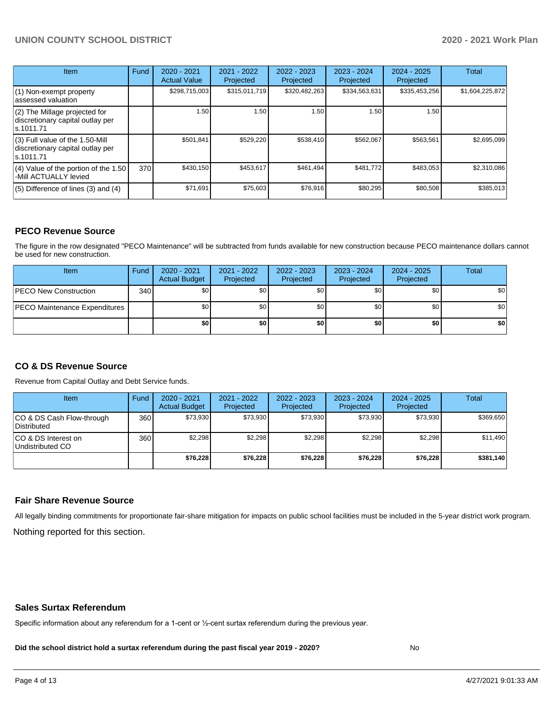# **UNION COUNTY SCHOOL DISTRICT 2020 - 2021 Work Plan**

| Item                                                                                | Fund | $2020 - 2021$<br><b>Actual Value</b> | 2021 - 2022<br>Projected | 2022 - 2023<br>Projected | 2023 - 2024<br>Projected | $2024 - 2025$<br>Projected | <b>Total</b>    |
|-------------------------------------------------------------------------------------|------|--------------------------------------|--------------------------|--------------------------|--------------------------|----------------------------|-----------------|
| (1) Non-exempt property<br>lassessed valuation                                      |      | \$298,715,003                        | \$315,011,719            | \$320,482,263            | \$334,563,631            | \$335,453,256              | \$1,604,225,872 |
| $(2)$ The Millage projected for<br>discretionary capital outlay per<br>ls.1011.71   |      | 1.50                                 | 1.50                     | 1.50                     | 1.50                     | 1.50                       |                 |
| $(3)$ Full value of the 1.50-Mill<br>discretionary capital outlay per<br>ls.1011.71 |      | \$501,841                            | \$529,220                | \$538,410                | \$562,067                | \$563,561                  | \$2,695,099     |
| $(4)$ Value of the portion of the 1.50<br>-Mill ACTUALLY levied                     | 370I | \$430,150                            | \$453,617                | \$461,494                | \$481,772                | \$483,053                  | \$2,310,086     |
| $(5)$ Difference of lines $(3)$ and $(4)$                                           |      | \$71,691                             | \$75,603                 | \$76,916                 | \$80,295                 | \$80,508                   | \$385,013       |

#### **PECO Revenue Source**

The figure in the row designated "PECO Maintenance" will be subtracted from funds available for new construction because PECO maintenance dollars cannot be used for new construction.

| Item                                 | Fund | $2020 - 2021$<br><b>Actual Budget</b> | 2021 - 2022<br>Projected | 2022 - 2023<br>Projected | 2023 - 2024<br>Projected | 2024 - 2025<br>Projected | Total            |
|--------------------------------------|------|---------------------------------------|--------------------------|--------------------------|--------------------------|--------------------------|------------------|
| <b>PECO New Construction</b>         | 340  | \$0                                   | \$0 <sub>1</sub>         | \$0                      | \$0 <sub>1</sub>         | \$0 <sub>1</sub>         | \$0 <sub>1</sub> |
| <b>PECO Maintenance Expenditures</b> |      | ا 30                                  | \$٥Ι                     | \$0                      | \$0 <sub>1</sub>         | \$0                      | \$0              |
|                                      |      | \$0                                   | \$0                      | \$0                      | \$0                      | \$0                      | \$0              |

# **CO & DS Revenue Source**

Revenue from Capital Outlay and Debt Service funds.

| <b>Item</b>                               | Fund | $2020 - 2021$<br><b>Actual Budget</b> | 2021 - 2022<br>Projected | 2022 - 2023<br>Projected | $2023 - 2024$<br>Projected | $2024 - 2025$<br>Projected | Total     |
|-------------------------------------------|------|---------------------------------------|--------------------------|--------------------------|----------------------------|----------------------------|-----------|
| ICO & DS Cash Flow-through<br>Distributed | 360  | \$73.930                              | \$73.930                 | \$73.930                 | \$73.930                   | \$73.930                   | \$369,650 |
| ICO & DS Interest on<br>Undistributed CO  | 360  | \$2.298                               | \$2,298                  | \$2.298                  | \$2.298                    | \$2,298                    | \$11,490  |
|                                           |      | \$76,228                              | \$76,228                 | \$76,228                 | \$76,228                   | \$76,228                   | \$381,140 |

#### **Fair Share Revenue Source**

Nothing reported for this section. All legally binding commitments for proportionate fair-share mitigation for impacts on public school facilities must be included in the 5-year district work program.

#### **Sales Surtax Referendum**

Specific information about any referendum for a 1-cent or ½-cent surtax referendum during the previous year.

**Did the school district hold a surtax referendum during the past fiscal year 2019 - 2020?**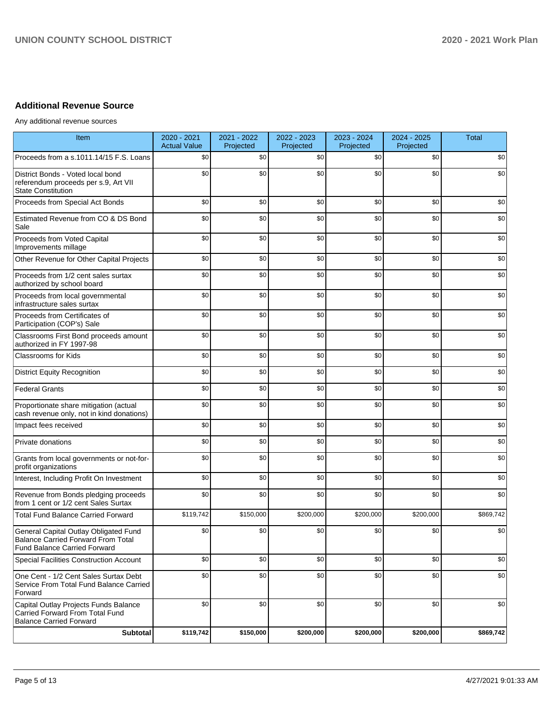# **Additional Revenue Source**

Any additional revenue sources

| Item                                                                                                                      | 2020 - 2021<br><b>Actual Value</b> | 2021 - 2022<br>Projected | 2022 - 2023<br>Projected | 2023 - 2024<br>Projected | 2024 - 2025<br>Projected | <b>Total</b> |
|---------------------------------------------------------------------------------------------------------------------------|------------------------------------|--------------------------|--------------------------|--------------------------|--------------------------|--------------|
| Proceeds from a s.1011.14/15 F.S. Loans                                                                                   | \$0                                | \$0                      | \$0                      | \$0                      | \$0                      | \$0          |
| District Bonds - Voted local bond<br>referendum proceeds per s.9, Art VII<br><b>State Constitution</b>                    | \$0                                | \$0                      | \$0                      | \$0                      | \$0                      | \$0          |
| Proceeds from Special Act Bonds                                                                                           | \$0                                | \$0                      | \$0                      | \$0                      | \$0                      | \$0          |
| Estimated Revenue from CO & DS Bond<br>Sale                                                                               | \$0                                | \$0                      | \$0                      | \$0                      | \$0                      | \$0          |
| Proceeds from Voted Capital<br>Improvements millage                                                                       | \$0                                | \$0                      | \$0                      | \$0                      | \$0                      | \$0          |
| Other Revenue for Other Capital Projects                                                                                  | \$0                                | \$0                      | \$0                      | \$0                      | \$0                      | \$0          |
| Proceeds from 1/2 cent sales surtax<br>authorized by school board                                                         | \$0                                | \$0                      | \$0                      | \$0                      | \$0                      | \$0          |
| Proceeds from local governmental<br>infrastructure sales surtax                                                           | \$0                                | \$0                      | \$0                      | \$0                      | \$0                      | \$0          |
| Proceeds from Certificates of<br>Participation (COP's) Sale                                                               | \$0                                | \$0                      | \$0                      | \$0                      | \$0                      | \$0          |
| Classrooms First Bond proceeds amount<br>authorized in FY 1997-98                                                         | \$0                                | \$0                      | \$0                      | \$0                      | \$0                      | \$0          |
| Classrooms for Kids                                                                                                       | \$0                                | \$0                      | \$0                      | \$0                      | \$0                      | \$0          |
| <b>District Equity Recognition</b>                                                                                        | \$0                                | \$0                      | \$0                      | \$0                      | \$0                      | \$0          |
| <b>Federal Grants</b>                                                                                                     | \$0                                | \$0                      | \$0                      | \$0                      | \$0                      | \$0          |
| Proportionate share mitigation (actual<br>cash revenue only, not in kind donations)                                       | \$0                                | \$0                      | \$0                      | \$0                      | \$0                      | \$0          |
| Impact fees received                                                                                                      | \$0                                | \$0                      | \$0                      | \$0                      | \$0                      | \$0          |
| Private donations                                                                                                         | \$0                                | \$0                      | \$0                      | \$0                      | \$0                      | \$0          |
| Grants from local governments or not-for-<br>profit organizations                                                         | \$0                                | \$0                      | \$0                      | \$0                      | \$0                      | \$0          |
| Interest, Including Profit On Investment                                                                                  | \$0                                | \$0                      | \$0                      | \$0                      | \$0                      | \$0          |
| Revenue from Bonds pledging proceeds<br>from 1 cent or 1/2 cent Sales Surtax                                              | \$0                                | \$0                      | \$0                      | \$0                      | \$0                      | \$0          |
| <b>Total Fund Balance Carried Forward</b>                                                                                 | \$119,742                          | \$150,000                | \$200,000                | \$200,000                | \$200,000                | \$869,742    |
| General Capital Outlay Obligated Fund<br><b>Balance Carried Forward From Total</b><br><b>Fund Balance Carried Forward</b> | \$0                                | \$0                      | \$0                      | \$0                      | \$0                      | \$0          |
| <b>Special Facilities Construction Account</b>                                                                            | \$0                                | \$0                      | \$0                      | \$0                      | \$0                      | \$0          |
| One Cent - 1/2 Cent Sales Surtax Debt<br>Service From Total Fund Balance Carried<br>Forward                               | \$0                                | \$0                      | \$0                      | \$0                      | \$0                      | \$0          |
| Capital Outlay Projects Funds Balance<br>Carried Forward From Total Fund<br><b>Balance Carried Forward</b>                | \$0                                | \$0                      | \$0                      | \$0                      | \$0                      | \$0          |
| Subtotal                                                                                                                  | \$119,742                          | \$150,000                | \$200,000                | \$200,000                | \$200,000                | \$869,742    |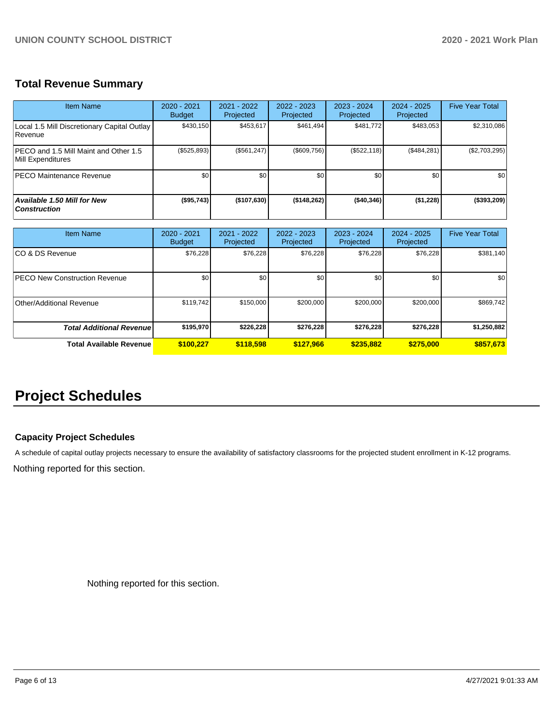# **Total Revenue Summary**

| <b>Item Name</b>                                            | $2020 - 2021$<br><b>Budget</b> | $2021 - 2022$<br>Projected | $2022 - 2023$<br>Projected | 2023 - 2024<br>Projected | $2024 - 2025$<br>Projected | <b>Five Year Total</b> |
|-------------------------------------------------------------|--------------------------------|----------------------------|----------------------------|--------------------------|----------------------------|------------------------|
| Local 1.5 Mill Discretionary Capital Outlay<br>Revenue      | \$430,150                      | \$453,617                  | \$461.494                  | \$481,772                | \$483,053                  | \$2,310,086            |
| IPECO and 1.5 Mill Maint and Other 1.5<br>Mill Expenditures | $(\$525,893)$                  | (S561.247)                 | (\$609,756)                | (\$522, 118)             | (\$484,281)                | (\$2,703,295)          |
| <b>PECO Maintenance Revenue</b>                             | \$0 <sub>1</sub>               | \$0                        | \$0                        | \$0                      | \$0 <sub>1</sub>           | \$0                    |
| <b>Available 1.50 Mill for New</b><br><b>Construction</b>   | (\$95,743)                     | (\$107,630)                | (\$148,262)                | ( \$40, 346)             | ( \$1,228)                 | (\$393,209)            |

| <b>Item Name</b>                      | $2020 - 2021$<br><b>Budget</b> | $2021 - 2022$<br>Projected | $2022 - 2023$<br>Projected | $2023 - 2024$<br>Projected | $2024 - 2025$<br>Projected | <b>Five Year Total</b> |
|---------------------------------------|--------------------------------|----------------------------|----------------------------|----------------------------|----------------------------|------------------------|
| ICO & DS Revenue                      | \$76,228                       | \$76,228                   | \$76,228                   | \$76,228                   | \$76,228                   | \$381,140              |
| <b>IPECO New Construction Revenue</b> | \$0                            | \$0 <sub>1</sub>           | \$0                        | \$0                        | \$0                        | \$0                    |
| Other/Additional Revenue              | \$119,742                      | \$150,000                  | \$200,000                  | \$200,000                  | \$200,000                  | \$869,742              |
| <b>Total Additional Revenuel</b>      | \$195,970                      | \$226,228                  | \$276.228                  | \$276.228                  | \$276.228                  | \$1,250,882            |
| Total Available Revenue               | \$100.227                      | \$118,598                  | \$127,966                  | \$235,882                  | \$275,000                  | \$857,673              |

# **Project Schedules**

#### **Capacity Project Schedules**

A schedule of capital outlay projects necessary to ensure the availability of satisfactory classrooms for the projected student enrollment in K-12 programs.

Nothing reported for this section.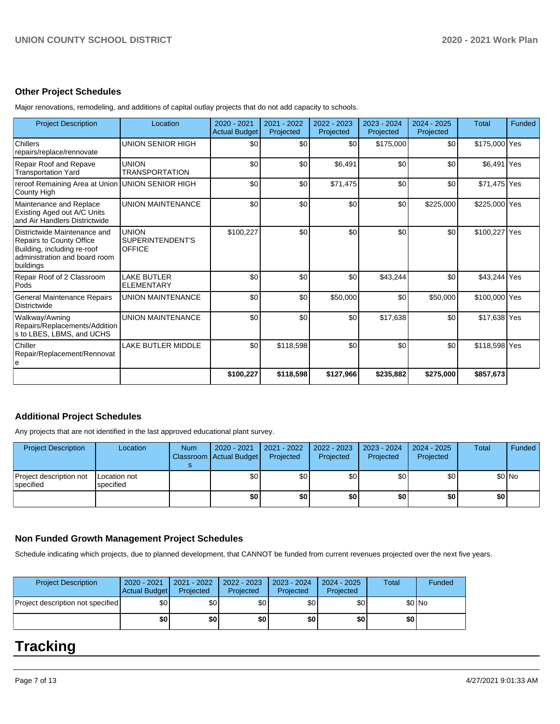#### **Other Project Schedules**

Major renovations, remodeling, and additions of capital outlay projects that do not add capacity to schools.

| <b>Project Description</b>                                                                                                            | Location                                          | 2020 - 2021<br><b>Actual Budget</b> | 2021 - 2022<br>Projected | 2022 - 2023<br>Projected | 2023 - 2024<br>Projected | 2024 - 2025<br>Projected | <b>Total</b>  | Funded |
|---------------------------------------------------------------------------------------------------------------------------------------|---------------------------------------------------|-------------------------------------|--------------------------|--------------------------|--------------------------|--------------------------|---------------|--------|
| Chillers<br>repairs/replace/rennovate                                                                                                 | <b>UNION SENIOR HIGH</b>                          | \$0                                 | \$0                      | \$0                      | \$175,000                | \$0                      | \$175,000 Yes |        |
| Repair Roof and Repave<br><b>Transportation Yard</b>                                                                                  | <b>UNION</b><br><b>TRANSPORTATION</b>             | \$0                                 | \$0                      | \$6,491                  | \$0                      | \$0                      | \$6,491 Yes   |        |
| reroof Remaining Area at Union UNION SENIOR HIGH<br>County High                                                                       |                                                   | \$0                                 | \$0                      | \$71,475                 | \$0                      | \$0                      | \$71,475 Yes  |        |
| Maintenance and Replace<br>Existing Aged out A/C Units<br>and Air Handlers Districtwide                                               | <b>UNION MAINTENANCE</b>                          | \$0                                 | \$0                      | \$0                      | \$0                      | \$225,000                | \$225,000 Yes |        |
| Districtwide Maintenance and<br>Repairs to County Office<br>Building, including re-roof<br>administration and board room<br>buildings | <b>UNION</b><br>SUPERINTENDENT'S<br><b>OFFICE</b> | \$100,227                           | \$0                      | \$0                      | \$0                      | \$0                      | \$100,227 Yes |        |
| Repair Roof of 2 Classroom<br>Pods                                                                                                    | <b>LAKE BUTLER</b><br><b>ELEMENTARY</b>           | \$0                                 | \$0                      | \$0                      | \$43,244                 | \$0                      | \$43,244 Yes  |        |
| General Maintenance Repairs<br><b>Districtwide</b>                                                                                    | <b>UNION MAINTENANCE</b>                          | \$0                                 | \$0                      | \$50,000                 | \$0                      | \$50,000                 | \$100,000 Yes |        |
| Walkway/Awning<br>Repairs/Replacements/Addition<br>s to LBES, LBMS, and UCHS                                                          | <b>UNION MAINTENANCE</b>                          | \$0                                 | \$0                      | \$0                      | \$17,638                 | \$0                      | \$17,638 Yes  |        |
| Chiller<br>Repair/Replacement/Rennovat<br>е                                                                                           | <b>LAKE BUTLER MIDDLE</b>                         | \$0                                 | \$118,598                | \$0                      | \$0                      | \$0                      | \$118,598 Yes |        |
|                                                                                                                                       |                                                   | \$100,227                           | \$118,598                | \$127,966                | \$235,882                | \$275,000                | \$857,673     |        |

# **Additional Project Schedules**

Any projects that are not identified in the last approved educational plant survey.

| <b>Project Description</b>           | Location                  | <b>Num</b> | 2020 - 2021<br>Classroom Actual Budget | 2021 - 2022<br>Projected | 2022 - 2023<br>Projected | 2023 - 2024<br>Projected | $2024 - 2025$<br>Projected | Total | Funded  |
|--------------------------------------|---------------------------|------------|----------------------------------------|--------------------------|--------------------------|--------------------------|----------------------------|-------|---------|
| Project description not<br>specified | Location not<br>specified |            | \$0                                    | \$0 I                    | \$٥١                     | \$0 I                    | \$٥١                       |       | $$0$ No |
|                                      |                           |            | \$0                                    | \$0                      | \$0                      | \$0                      | \$0                        | \$0 I |         |

## **Non Funded Growth Management Project Schedules**

Schedule indicating which projects, due to planned development, that CANNOT be funded from current revenues projected over the next five years.

| <b>Project Description</b>        | $2020 - 2021$<br><b>Actual Budget</b> | 2021 - 2022<br>Projected | 2022 - 2023<br>Projected | 2023 - 2024<br>Projected | $2024 - 2025$<br>Projected | <b>Total</b> | Funded |
|-----------------------------------|---------------------------------------|--------------------------|--------------------------|--------------------------|----------------------------|--------------|--------|
| Project description not specified | \$0                                   | \$0 I                    | \$0 <sub>1</sub>         | \$0 I                    | \$0                        |              | \$0 No |
|                                   | \$0                                   | \$O I                    | \$0                      | \$O I                    | \$0                        | \$0 I        |        |

# **Tracking**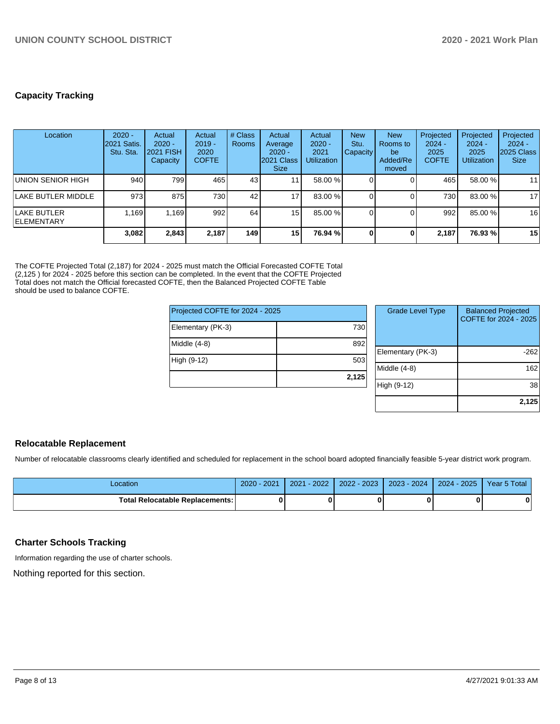# **Capacity Tracking**

| Location                          | $2020 -$<br>2021 Satis.<br>Stu. Sta. | Actual<br>$2020 -$<br><b>2021 FISH</b><br>Capacity | Actual<br>$2019 -$<br>2020<br><b>COFTE</b> | # Class<br>Rooms | Actual<br>Average<br>$2020 -$<br>2021 Class<br><b>Size</b> | Actual<br>$2020 -$<br>2021<br><b>Utilization</b> | <b>New</b><br>Stu.<br><b>Capacity</b> | <b>New</b><br>Rooms to<br>be<br>Added/Re<br>moved | Projected<br>$2024 -$<br>2025<br><b>COFTE</b> | Projected<br>$2024 -$<br>2025<br><b>Utilization</b> | Projected<br>$2024 -$<br>2025 Class<br><b>Size</b> |
|-----------------------------------|--------------------------------------|----------------------------------------------------|--------------------------------------------|------------------|------------------------------------------------------------|--------------------------------------------------|---------------------------------------|---------------------------------------------------|-----------------------------------------------|-----------------------------------------------------|----------------------------------------------------|
| UNION SENIOR HIGH                 | 940                                  | 799 l                                              | 465                                        | 43 <sub>l</sub>  | ∣1                                                         | 58.00 %                                          |                                       |                                                   | 465                                           | 58.00 %                                             | 11                                                 |
| <b>LAKE BUTLER MIDDLE</b>         | 973                                  | 875                                                | 7301                                       | 42               | 17 <sub>1</sub>                                            | 83.00 %                                          |                                       |                                                   | 730                                           | 83.00 %                                             | 17                                                 |
| LAKE BUTLER<br><b>IELEMENTARY</b> | 1.169                                | 1.169                                              | 992                                        | 64               | 15                                                         | 85.00 %                                          | ΩI                                    |                                                   | 992                                           | 85.00 %                                             | 16                                                 |
|                                   | 3,082                                | 2,843                                              | 2.187                                      | 149 l            | 15                                                         | 76.94 %                                          | $\mathbf{0}$                          |                                                   | 2.187                                         | 76.93 %                                             | 15                                                 |

The COFTE Projected Total (2,187) for 2024 - 2025 must match the Official Forecasted COFTE Total (2,125 ) for 2024 - 2025 before this section can be completed. In the event that the COFTE Projected Total does not match the Official forecasted COFTE, then the Balanced Projected COFTE Table should be used to balance COFTE.

| Projected COFTE for 2024 - 2025 |       |  |  |  |  |  |
|---------------------------------|-------|--|--|--|--|--|
| Elementary (PK-3)               | 730   |  |  |  |  |  |
| Middle (4-8)                    | 892   |  |  |  |  |  |
| High (9-12)                     | 503   |  |  |  |  |  |
|                                 | 2,125 |  |  |  |  |  |

| <b>Grade Level Type</b> | <b>Balanced Projected</b><br>COFTE for 2024 - 2025 |
|-------------------------|----------------------------------------------------|
| Elementary (PK-3)       | -262                                               |
| Middle (4-8)            | 162                                                |
| High (9-12)             | 38                                                 |
|                         | 2,125                                              |

#### **Relocatable Replacement**

Number of relocatable classrooms clearly identified and scheduled for replacement in the school board adopted financially feasible 5-year district work program.

| Location                                 | $-2021$<br>2020 | 2022<br>2021 | $2 - 2023$<br>2022 | 2023 - 2024 | 2025<br>$2024 -$ | Year 5 Total |
|------------------------------------------|-----------------|--------------|--------------------|-------------|------------------|--------------|
| <b>Total Relocatable Replacements: I</b> |                 |              |                    |             |                  | $\bf{0}$     |

#### **Charter Schools Tracking**

Information regarding the use of charter schools.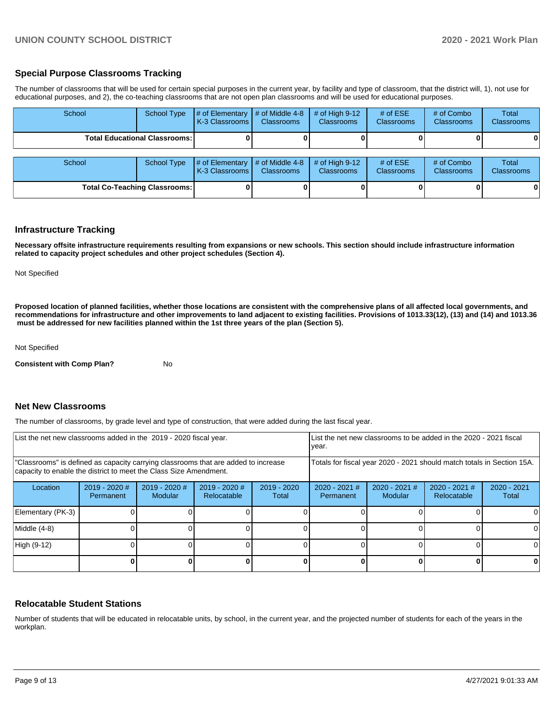### **Special Purpose Classrooms Tracking**

The number of classrooms that will be used for certain special purposes in the current year, by facility and type of classroom, that the district will, 1), not use for educational purposes, and 2), the co-teaching classrooms that are not open plan classrooms and will be used for educational purposes.

| School                                 | <b>School Type</b> | # of Elementary<br>K-3 Classrooms | # of Middle 4-8<br><b>Classrooms</b> | # of High $9-12$<br><b>Classrooms</b> | # of $ESE$<br><b>Classrooms</b> | # of Combo<br><b>Classrooms</b> | Total<br><b>Classrooms</b> |
|----------------------------------------|--------------------|-----------------------------------|--------------------------------------|---------------------------------------|---------------------------------|---------------------------------|----------------------------|
| <b>Total Educational Classrooms: I</b> |                    |                                   |                                      |                                       |                                 |                                 | 0                          |
| School                                 | <b>School Type</b> | # of Elementary<br>K-3 Classrooms | # of Middle 4-8<br><b>Classrooms</b> | # of High $9-12$<br>Classrooms        | # of $ESE$<br>Classrooms        | # of Combo<br><b>Classrooms</b> | Total<br>Classrooms        |
| <b>Total Co-Teaching Classrooms:</b>   |                    |                                   |                                      |                                       |                                 |                                 | 0                          |

#### **Infrastructure Tracking**

**Necessary offsite infrastructure requirements resulting from expansions or new schools. This section should include infrastructure information related to capacity project schedules and other project schedules (Section 4).** 

Not Specified

**Proposed location of planned facilities, whether those locations are consistent with the comprehensive plans of all affected local governments, and recommendations for infrastructure and other improvements to land adjacent to existing facilities. Provisions of 1013.33(12), (13) and (14) and 1013.36 must be addressed for new facilities planned within the 1st three years of the plan (Section 5).** 

Not Specified

**Consistent with Comp Plan?** No

#### **Net New Classrooms**

The number of classrooms, by grade level and type of construction, that were added during the last fiscal year.

| List the net new classrooms added in the 2019 - 2020 fiscal year.                                                                                       |                              |                          |                                |                                                                        | List the net new classrooms to be added in the 2020 - 2021 fiscal<br>year. |                            |                                |                      |
|---------------------------------------------------------------------------------------------------------------------------------------------------------|------------------------------|--------------------------|--------------------------------|------------------------------------------------------------------------|----------------------------------------------------------------------------|----------------------------|--------------------------------|----------------------|
| 'Classrooms" is defined as capacity carrying classrooms that are added to increase<br>capacity to enable the district to meet the Class Size Amendment. |                              |                          |                                | Totals for fiscal year 2020 - 2021 should match totals in Section 15A. |                                                                            |                            |                                |                      |
| Location                                                                                                                                                | $2019 - 2020$ #<br>Permanent | 2019 - 2020 #<br>Modular | $2019 - 2020$ #<br>Relocatable | $2019 - 2020$<br>Total                                                 | $2020 - 2021$ #<br>Permanent                                               | $2020 - 2021$ #<br>Modular | $2020 - 2021$ #<br>Relocatable | 2020 - 2021<br>Total |
| Elementary (PK-3)                                                                                                                                       |                              |                          |                                |                                                                        |                                                                            |                            |                                |                      |
| Middle (4-8)                                                                                                                                            |                              |                          |                                |                                                                        |                                                                            |                            |                                |                      |
| High (9-12)                                                                                                                                             |                              |                          |                                |                                                                        |                                                                            |                            |                                | ΩI                   |
|                                                                                                                                                         |                              |                          |                                |                                                                        |                                                                            |                            |                                | 0                    |

#### **Relocatable Student Stations**

Number of students that will be educated in relocatable units, by school, in the current year, and the projected number of students for each of the years in the workplan.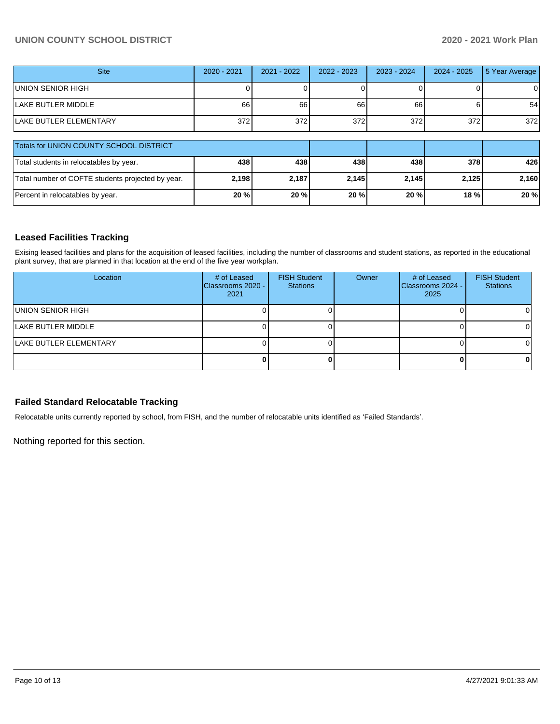# **UNION COUNTY SCHOOL DISTRICT 2020 - 2021 Work Plan**

| <b>Site</b>                                       | 2020 - 2021 | $2021 - 2022$ | 2022 - 2023 | $2023 - 2024$ | $2024 - 2025$ | 5 Year Average |
|---------------------------------------------------|-------------|---------------|-------------|---------------|---------------|----------------|
| UNION SENIOR HIGH                                 |             |               |             |               |               |                |
| LAKE BUTLER MIDDLE                                | 66          | 66            | 66          | 66            |               | 54             |
| LAKE BUTLER ELEMENTARY                            | 372         | 372           | 372         | 372           | 372           | 372            |
| Totals for UNION COUNTY SCHOOL DISTRICT           |             |               |             |               |               |                |
| Total students in relocatables by year.           | 438         | 438           | 438         | 438           | 378           | 426            |
| Total number of COFTE students projected by year. | 2,198       | 2,187         | 2,145       | 2,145         | 2,125         | 2,160          |
| Percent in relocatables by year.                  | 20%         | 20 %          | 20 %        | 20 %          | 18 %          | 20%            |

# **Leased Facilities Tracking**

Exising leased facilities and plans for the acquisition of leased facilities, including the number of classrooms and student stations, as reported in the educational plant survey, that are planned in that location at the end of the five year workplan.

| Location               | # of Leased<br>Classrooms 2020 -<br>2021 | <b>FISH Student</b><br><b>Stations</b> | Owner | # of Leased<br>Classrooms 2024 -<br>2025 | <b>FISH Student</b><br><b>Stations</b> |
|------------------------|------------------------------------------|----------------------------------------|-------|------------------------------------------|----------------------------------------|
| UNION SENIOR HIGH      |                                          |                                        |       |                                          |                                        |
| LAKE BUTLER MIDDLE     |                                          |                                        |       |                                          |                                        |
| LAKE BUTLER ELEMENTARY |                                          |                                        |       |                                          |                                        |
|                        |                                          |                                        |       |                                          |                                        |

## **Failed Standard Relocatable Tracking**

Relocatable units currently reported by school, from FISH, and the number of relocatable units identified as 'Failed Standards'.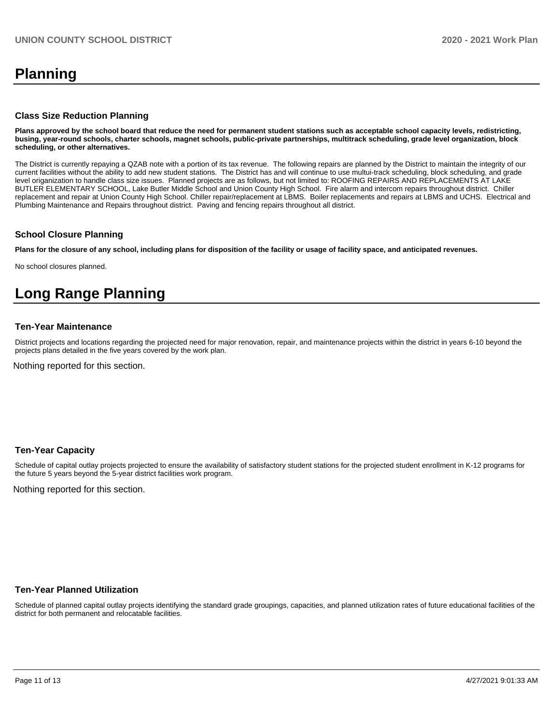# **Planning**

#### **Class Size Reduction Planning**

**Plans approved by the school board that reduce the need for permanent student stations such as acceptable school capacity levels, redistricting, busing, year-round schools, charter schools, magnet schools, public-private partnerships, multitrack scheduling, grade level organization, block scheduling, or other alternatives.**

The District is currently repaying a QZAB note with a portion of its tax revenue. The following repairs are planned by the District to maintain the integrity of our current facilities without the ability to add new student stations. The District has and will continue to use multui-track scheduling, block scheduling, and grade level origanization to handle class size issues. Planned projects are as follows, but not limited to: ROOFING REPAIRS AND REPLACEMENTS AT LAKE BUTLER ELEMENTARY SCHOOL, Lake Butler Middle School and Union County High School. Fire alarm and intercom repairs throughout district. Chiller replacement and repair at Union County High School. Chiller repair/replacement at LBMS. Boiler replacements and repairs at LBMS and UCHS. Electrical and Plumbing Maintenance and Repairs throughout district. Paving and fencing repairs throughout all district.

#### **School Closure Planning**

**Plans for the closure of any school, including plans for disposition of the facility or usage of facility space, and anticipated revenues.** 

No school closures planned.

# **Long Range Planning**

#### **Ten-Year Maintenance**

District projects and locations regarding the projected need for major renovation, repair, and maintenance projects within the district in years 6-10 beyond the projects plans detailed in the five years covered by the work plan.

Nothing reported for this section.

#### **Ten-Year Capacity**

Schedule of capital outlay projects projected to ensure the availability of satisfactory student stations for the projected student enrollment in K-12 programs for the future 5 years beyond the 5-year district facilities work program.

Nothing reported for this section.

#### **Ten-Year Planned Utilization**

Schedule of planned capital outlay projects identifying the standard grade groupings, capacities, and planned utilization rates of future educational facilities of the district for both permanent and relocatable facilities.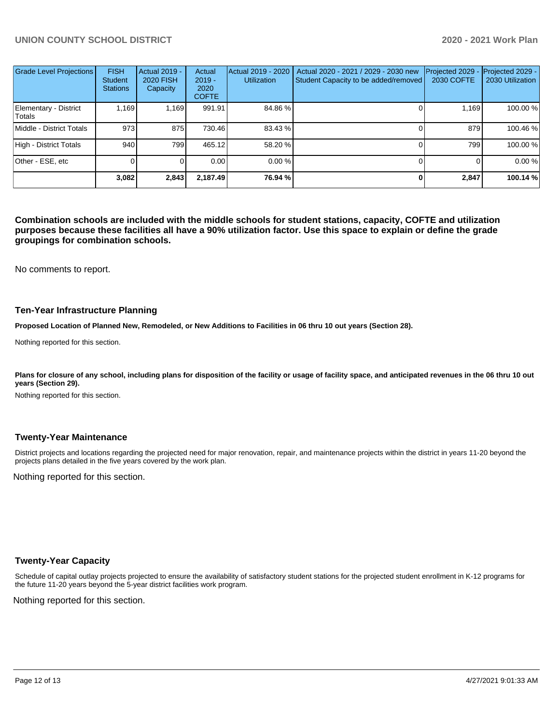| <b>Grade Level Projections</b>  | <b>FISH</b><br><b>Student</b><br><b>Stations</b> | Actual 2019 -<br><b>2020 FISH</b><br>Capacity | Actual<br>$2019 -$<br>2020<br><b>COFTE</b> | Actual 2019 - 2020<br><b>Utilization</b> | Actual 2020 - 2021 / 2029 - 2030 new<br>Student Capacity to be added/removed | Projected 2029<br><b>2030 COFTE</b> | Projected 2029 -<br>2030 Utilization |
|---------------------------------|--------------------------------------------------|-----------------------------------------------|--------------------------------------------|------------------------------------------|------------------------------------------------------------------------------|-------------------------------------|--------------------------------------|
| Elementary - District<br>Totals | 1,169                                            | 1,169                                         | 991.91                                     | 84.86 %                                  |                                                                              | 1.169                               | 100.00 %                             |
| Middle - District Totals        | 973                                              | 875                                           | 730.46                                     | 83.43 %                                  |                                                                              | 879                                 | 100.46 %                             |
| High - District Totals          | 940                                              | 7991                                          | 465.12                                     | 58.20 %                                  |                                                                              | 799                                 | 100.00 %                             |
| Other - ESE, etc                |                                                  |                                               | 0.00                                       | 0.00%                                    |                                                                              |                                     | 0.00 %                               |
|                                 | 3,082                                            | 2,843                                         | 2,187.49                                   | 76.94 %                                  |                                                                              | 2,847                               | 100.14 %                             |

**Combination schools are included with the middle schools for student stations, capacity, COFTE and utilization purposes because these facilities all have a 90% utilization factor. Use this space to explain or define the grade groupings for combination schools.** 

No comments to report.

#### **Ten-Year Infrastructure Planning**

**Proposed Location of Planned New, Remodeled, or New Additions to Facilities in 06 thru 10 out years (Section 28).**

Nothing reported for this section.

Plans for closure of any school, including plans for disposition of the facility or usage of facility space, and anticipated revenues in the 06 thru 10 out **years (Section 29).**

Nothing reported for this section.

#### **Twenty-Year Maintenance**

District projects and locations regarding the projected need for major renovation, repair, and maintenance projects within the district in years 11-20 beyond the projects plans detailed in the five years covered by the work plan.

Nothing reported for this section.

#### **Twenty-Year Capacity**

Schedule of capital outlay projects projected to ensure the availability of satisfactory student stations for the projected student enrollment in K-12 programs for the future 11-20 years beyond the 5-year district facilities work program.